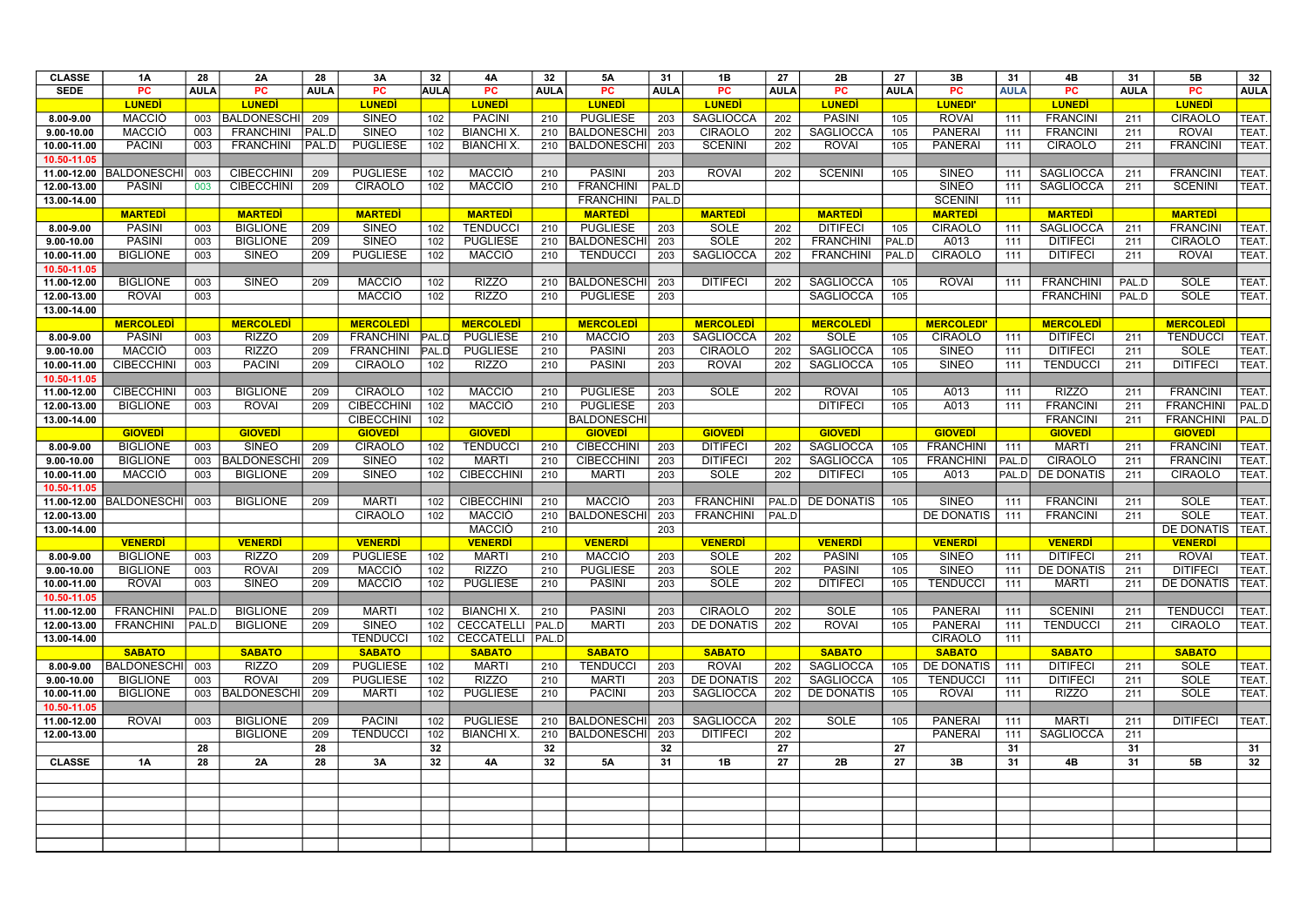| <b>CLASSE</b>  | 1A                | 28          | 2A                 | 28          | 3A                | 32           | 4A                 | 32          | 5A                      | 31          | 1B                | 27           | 2B                | 27          | 3B                | 31          | 4В               | 31          | 5Β                 | 32          |
|----------------|-------------------|-------------|--------------------|-------------|-------------------|--------------|--------------------|-------------|-------------------------|-------------|-------------------|--------------|-------------------|-------------|-------------------|-------------|------------------|-------------|--------------------|-------------|
| <b>SEDE</b>    | PC                | <b>AULA</b> | <b>PC</b>          | <b>AULA</b> | <b>PC</b>         | <b>AULA</b>  | <b>PC</b>          | <b>AULA</b> | <b>PC</b>               | <b>AULA</b> | <b>PC</b>         | <b>AULA</b>  | <b>PC</b>         | <b>AULA</b> | <b>PC</b>         | <b>AULA</b> | <b>PC</b>        | <b>AULA</b> | <b>PC</b>          | <b>AULA</b> |
|                | <b>LUNEDI</b>     |             | <b>LUNEDI</b>      |             | <b>LUNEDI</b>     |              | <b>LUNEDI</b>      |             | <b>LUNEDI</b>           |             | <b>LUNED</b>      |              | <b>LUNEDI</b>     |             | <b>LUNEDI</b>     |             | <b>LUNED</b>     |             | <b>LUNED</b>       |             |
| 8.00-9.00      | <b>MACCIÒ</b>     |             | 003 BALDONESCHI    | 209         | <b>SINEO</b>      | 102          | <b>PACINI</b>      | 210         | <b>PUGLIESE</b>         | 203         | <b>SAGLIOCCA</b>  | 202          | <b>PASINI</b>     | 105         | <b>ROVAI</b>      | 111         | <b>FRANCINI</b>  | 211         | <b>CIRAOLO</b>     | <b>TEAT</b> |
| $9.00 - 10.00$ | <b>MACCIO</b>     | 003         | <b>FRANCHINI</b>   | PAL.D       | <b>SINEO</b>      | 102          | <b>BIANCHI X</b>   | 210         | <b>BALDONESCHI</b>      | 203         | <b>CIRAOLO</b>    | 202          | <b>SAGLIOCCA</b>  | 105         | <b>PANERAI</b>    | 111         | <b>FRANCINI</b>  | 211         | <b>ROVAI</b>       | TEAT.       |
| 10.00-11.00    | <b>PACINI</b>     | 003         | <b>FRANCHINI</b>   | PAL.D       | <b>PUGLIESE</b>   | 102          | <b>BIANCHI X</b>   |             | 210 BALDONESCHI         | 203         | <b>SCENINI</b>    | 202          | <b>ROVAI</b>      | 105         | <b>PANERAI</b>    | 111         | <b>CIRAOLO</b>   | 211         | <b>FRANCINI</b>    | <b>TEAT</b> |
| 10.50-11.05    |                   |             |                    |             |                   |              |                    |             |                         |             |                   |              |                   |             |                   |             |                  |             |                    |             |
| 11.00-12.00    | BALDONESCH        | 003         | <b>CIBECCHINI</b>  | 209         | <b>PUGLIESE</b>   | 102          | <b>MACCIO</b>      | 210         | <b>PASINI</b>           | 203         | <b>ROVAI</b>      | 202          | <b>SCENINI</b>    | 105         | <b>SINEO</b>      | 111         | <b>SAGLIOCCA</b> | 211         | <b>FRANCINI</b>    | <b>TEAT</b> |
| 12.00-13.00    | <b>PASINI</b>     | 003         | <b>CIBECCHINI</b>  | 209         | <b>CIRAOLO</b>    | 102          | <b>MACCIÒ</b>      | 210         | <b>FRANCHINI</b>        | PAL.D       |                   |              |                   |             | <b>SINEO</b>      | 111         | <b>SAGLIOCCA</b> | 211         | <b>SCENINI</b>     | <b>TEAT</b> |
| 13.00-14.00    |                   |             |                    |             |                   |              |                    |             | <b>FRANCHINI</b>        | PAL.D       |                   |              |                   |             | <b>SCENINI</b>    | 111         |                  |             |                    |             |
|                | <b>MARTEDI</b>    |             | <b>MARTEDI</b>     |             | <b>MARTEDI</b>    |              | <b>MARTEDI</b>     |             | <b>MARTEDI</b>          |             | <b>MARTEDI</b>    |              | <b>MARTEDI</b>    |             | <b>MARTEDI</b>    |             | <b>MARTED</b>    |             | <b>MARTEDI</b>     |             |
| 8.00-9.00      | <b>PASINI</b>     | 003         | <b>BIGLIONE</b>    | 209         | <b>SINEO</b>      | 102          | <b>TENDUCCI</b>    | 210         | <b>PUGLIESE</b>         | 203         | <b>SOLE</b>       | 202          | <b>DITIFECI</b>   | 105         | <b>CIRAOLO</b>    | 111         | <b>SAGLIOCCA</b> | 211         | <b>FRANCINI</b>    | <b>TEAT</b> |
| $9.00 - 10.00$ | <b>PASINI</b>     | 003         | <b>BIGLIONE</b>    | 209         | <b>SINEO</b>      | 102          | <b>PUGLIESE</b>    | 210         | <b>BALDONESCHI</b>      | 203         | <b>SOLE</b>       | 202          | <b>FRANCHINI</b>  | PAL.D       | A013              | 111         | <b>DITIFECI</b>  | 211         | <b>CIRAOLO</b>     | <b>TEAT</b> |
| 10.00-11.00    | <b>BIGLIONE</b>   | 003         | <b>SINEO</b>       | 209         | <b>PUGLIESE</b>   | 102          | <b>MACCIÒ</b>      | 210         | <b>TENDUCCI</b>         | 203         | SAGLIOCCA         | 202          | <b>FRANCHINI</b>  | PAL.D       | <b>CIRAOLO</b>    | 111         | <b>DITIFECI</b>  | 211         | <b>ROVAI</b>       | <b>TEAT</b> |
| 10.50-11.05    |                   |             |                    |             |                   |              |                    |             |                         |             |                   |              |                   |             |                   |             |                  |             |                    |             |
| 11.00-12.00    | <b>BIGLIONE</b>   | 003         | <b>SINEO</b>       | 209         | <b>MACCIO</b>     | 102          | <b>RIZZO</b>       | 210         | <b>BALDONESCHI</b>      | 203         | <b>DITIFECI</b>   | 202          | <b>SAGLIOCCA</b>  | 105         | <b>ROVAI</b>      | 111         | <b>FRANCHINI</b> | PAL.D       | <b>SOLE</b>        | <b>TEAT</b> |
| 12.00-13.00    | <b>ROVAI</b>      | 003         |                    |             | <b>MACCIÒ</b>     | 102          | <b>RIZZO</b>       | 210         | <b>PUGLIESE</b>         | 203         |                   |              | <b>SAGLIOCCA</b>  | 105         |                   |             | <b>FRANCHINI</b> | PAL.D       | <b>SOLE</b>        | TEAT.       |
| 13.00-14.00    |                   |             |                    |             |                   |              |                    |             |                         |             |                   |              |                   |             |                   |             |                  |             |                    |             |
|                | <b>MERCOLEDI</b>  |             | <b>MERCOLEDI</b>   |             | <b>MERCOLEDI</b>  |              | <b>MERCOLEDI</b>   |             | <b>MERCOLEDI</b>        |             | <b>MERCOLEDI</b>  |              | <b>MERCOLEDI</b>  |             | <b>MERCOLEDI'</b> |             | <b>MERCOLEDI</b> |             | <b>MERCOLEDI</b>   |             |
| 8.00-9.00      | <b>PASINI</b>     | 003         | <b>RIZZO</b>       | 209         | <b>FRANCHINI</b>  | PAL.D        | <b>PUGLIESE</b>    | 210         | <b>MACCIO</b>           | 203         | SAGLIOCCA         | 202          | <b>SOLE</b>       | 105         | <b>CIRAOLO</b>    | 111         | <b>DITIFECI</b>  | 211         | <b>TENDUCCI</b>    | <b>TEAT</b> |
| $9.00 - 10.00$ | <b>MACCIÒ</b>     | 003         | <b>RIZZO</b>       | 209         | <b>FRANCHINI</b>  | <b>PAL.D</b> | <b>PUGLIESE</b>    | 210         | <b>PASINI</b>           | 203         | <b>CIRAOLO</b>    | 202          | <b>SAGLIOCCA</b>  | 105         | <b>SINEO</b>      | 111         | <b>DITIFECI</b>  | 211         | <b>SOLE</b>        | TEAT.       |
| 10.00-11.00    | <b>CIBECCHINI</b> | 003         | <b>PACINI</b>      | 209         | <b>CIRAOLO</b>    | 102          | <b>RIZZO</b>       | 210         | <b>PASINI</b>           | 203         | <b>ROVAI</b>      | 202          | <b>SAGLIOCCA</b>  | 105         | <b>SINEO</b>      | 111         | <b>TENDUCCI</b>  | 211         | <b>DITIFECI</b>    | <b>TEAT</b> |
| 10.50-11.05    |                   |             |                    |             |                   |              |                    |             |                         |             |                   |              |                   |             |                   |             |                  |             |                    |             |
| 11.00-12.00    | <b>CIBECCHINI</b> | 003         | <b>BIGLIONE</b>    | 209         | <b>CIRAOLO</b>    | 102          | <b>MACCIÒ</b>      | 210         | <b>PUGLIESE</b>         | 203         | <b>SOLE</b>       | 202          | <b>ROVAI</b>      | 105         | A013              | 111         | <b>RIZZO</b>     | 211         | <b>FRANCINI</b>    | TEAT.       |
| 12.00-13.00    | <b>BIGLIONE</b>   | 003         | <b>ROVAI</b>       | 209         | <b>CIBECCHINI</b> | 102          | <b>MACCIO</b>      | 210         | <b>PUGLIESE</b>         | 203         |                   |              | <b>DITIFECI</b>   | 105         | A013              | 111         | <b>FRANCINI</b>  | 211         | <b>FRANCHINI</b>   | PAL.D       |
| 13.00-14.00    |                   |             |                    |             | <b>CIBECCHINI</b> | 102          |                    |             | <b>BALDONESCHI</b>      |             |                   |              |                   |             |                   |             | <b>FRANCINI</b>  | 211         | <b>FRANCHINI</b>   | PAL.D       |
|                | <b>GIOVEDI</b>    |             | <b>GIOVEDI</b>     |             | <b>GIOVEDI</b>    |              | <b>GIOVEDI</b>     |             | <b>GIOVEDI</b>          |             | <b>GIOVEDI</b>    |              | <b>GIOVEDI</b>    |             | <b>GIOVEDI</b>    |             | <b>GIOVEDI</b>   |             | <b>GIOVEDI</b>     |             |
| 8.00-9.00      | <b>BIGLIONE</b>   | 003         | <b>SINEO</b>       | 209         | <b>CIRAOLO</b>    | 102          | <b>TENDUCCI</b>    | 210         | <b>CIBECCHINI</b>       | 203         | <b>DITIFECI</b>   | 202          | <b>SAGLIOCCA</b>  | 105         | <b>FRANCHINI</b>  | 111         | <b>MARTI</b>     | 211         | <b>FRANCINI</b>    | TEAT.       |
| 9.00-10.00     | <b>BIGLIONE</b>   | 003         | <b>BALDONESCHI</b> | 209         | <b>SINEO</b>      | 102          | <b>MARTI</b>       | 210         | <b>CIBECCHINI</b>       | 203         | <b>DITIFECI</b>   | 202          | <b>SAGLIOCCA</b>  | 105         | <b>FRANCHINI</b>  | PAL.D       | <b>CIRAOLO</b>   | 211         | <b>FRANCINI</b>    | TEAT.       |
| 10.00-11.00    | MACCIÒ            | 003         | <b>BIGLIONE</b>    | 209         | <b>SINEO</b>      | 102          | <b>CIBECCHINI</b>  | 210         | <b>MARTI</b>            | 203         | <b>SOLE</b>       | 202          | <b>DITIFECI</b>   | 105         | A013              | PAL.D       | DE DONATIS       | 211         | <b>CIRAOLO</b>     | <b>TEAT</b> |
| 10.50-11.05    |                   |             |                    |             |                   |              |                    |             |                         |             |                   |              |                   |             |                   |             |                  |             |                    |             |
| 11.00-12.00    | <b>BALDONESCH</b> | 003         | <b>BIGLIONE</b>    | 209         | <b>MARTI</b>      | 102          | <b>CIBECCHINI</b>  | 210         | <b>MACCIO</b>           | 203         | <b>FRANCHINI</b>  | <b>PAL.D</b> | <b>DE DONATIS</b> | 105         | <b>SINEO</b>      | 111         | <b>FRANCINI</b>  | 211         | <b>SOLE</b>        | <b>TEAT</b> |
| 12.00-13.00    |                   |             |                    |             | <b>CIRAOLO</b>    | 102          | <b>MACCIÒ</b>      | 210         | <b>BALDONESCHI</b>      | 203         | <b>FRANCHINI</b>  | PAL.D        |                   |             | DE DONATIS        | 111         | <b>FRANCINI</b>  | 211         | <b>SOLE</b>        | <b>TEAT</b> |
| 13.00-14.00    |                   |             |                    |             |                   |              | <b>MACCIÒ</b>      | 210         |                         | 203         |                   |              |                   |             |                   |             |                  |             | <b>DE DONATIS</b>  | TEAT.       |
|                | <b>VENERDI</b>    |             | <b>VENERDI</b>     |             | <b>VENERD</b>     |              | <b>VENERDI</b>     |             | <b>VENERDI</b>          |             | <b>VENERDI</b>    |              | <b>VENERD</b>     |             | <b>VENERDI</b>    |             | <b>VENERDI</b>   |             | <b>VENERDI</b>     |             |
| 8.00-9.00      | <b>BIGLIONE</b>   | 003         | <b>RIZZO</b>       | 209         | <b>PUGLIESE</b>   | 102          | <b>MARTI</b>       | 210         | <b>MACCIO</b>           | 203         | <b>SOLE</b>       | 202          | <b>PASINI</b>     | 105         | <b>SINEO</b>      | 111         | <b>DITIFECI</b>  | 211         | <b>ROVAI</b>       | TEAT.       |
| $9.00 - 10.00$ | <b>BIGLIONE</b>   | 003         | <b>ROVAI</b>       | 209         | <b>MACCIÒ</b>     | 102          | <b>RIZZO</b>       | 210         | <b>PUGLIESE</b>         | 203         | SOLE              | 202          | <b>PASINI</b>     | 105         | <b>SINEO</b>      | 111         | DE DONATIS       | 211         | <b>DITIFECI</b>    | TEAT.       |
| 10.00-11.00    | <b>ROVAI</b>      | 003         | <b>SINEO</b>       | 209         | MACCIÒ            | 102          | <b>PUGLIESE</b>    | 210         | <b>PASINI</b>           | 203         | SOLE              | 202          | <b>DITIFECI</b>   | 105         | <b>TENDUCCI</b>   | 111         | <b>MARTI</b>     | 211         | DE DONATIS   TEAT. |             |
| 10.50-11.05    |                   |             |                    |             |                   |              |                    |             |                         |             |                   |              |                   |             |                   |             |                  |             |                    |             |
| 11.00-12.00    | <b>FRANCHINI</b>  | PAL.D       | <b>BIGLIONE</b>    | 209         | <b>MARTI</b>      | 102          | <b>BIANCHI X.</b>  | 210         | <b>PASINI</b>           | 203         | <b>CIRAOLO</b>    | 202          | SOLE              | 105         | <b>PANERAI</b>    | 111         | <b>SCENINI</b>   | 211         | <b>TENDUCCI</b>    | TEAT.       |
| 12.00-13.00    | <b>FRANCHINI</b>  | PAL.D       | <b>BIGLIONE</b>    | 209         | <b>SINEO</b>      | 102          | CECCATELLI PAL.D   |             | <b>MARTI</b>            | 203         | <b>DE DONATIS</b> | 202          | <b>ROVAI</b>      | 105         | <b>PANERAI</b>    | 111         | <b>TENDUCCI</b>  | 211         | <b>CIRAOLO</b>     | TEAT.       |
| 13.00-14.00    |                   |             |                    |             | <b>TENDUCCI</b>   | 102          | CECCATELLI   PAL.D |             |                         |             |                   |              |                   |             | <b>CIRAOLO</b>    | 111         |                  |             |                    |             |
|                | <b>SABATO</b>     |             | <b>SABATO</b>      |             | <b>SABATO</b>     |              | <b>SABATO</b>      |             | <b>SABATO</b>           |             | <b>SABATO</b>     |              | <b>SABATO</b>     |             | <b>SABATO</b>     |             | <b>SABATO</b>    |             | <b>SABATO</b>      |             |
| 8.00-9.00      | BALDONESCHI       | 003         | <b>RIZZO</b>       | 209         | <b>PUGLIESE</b>   | 102          | <b>MARTI</b>       | 210         | <b>TENDUCCI</b>         | 203         | <b>ROVAI</b>      | 202          | <b>SAGLIOCCA</b>  | 105         | DE DONATIS        | 111         | <b>DITIFECI</b>  | 211         | SOLE               | TEAT.       |
| $9.00 - 10.00$ | <b>BIGLIONE</b>   | 003         | <b>ROVAI</b>       | 209         | <b>PUGLIESE</b>   | 102          | <b>RIZZO</b>       | 210         | <b>MARTI</b>            | 203         | DE DONATIS        | 202          | <b>SAGLIOCCA</b>  | 105         | <b>TENDUCCI</b>   | 111         | <b>DITIFECI</b>  | 211         | <b>SOLE</b>        | TEAT.       |
| 10.00-11.00    | <b>BIGLIONE</b>   |             | 003   BALDONESCHI  | 209         | <b>MARTI</b>      | 102          | <b>PUGLIESE</b>    | 210         | <b>PACINI</b>           | 203         | <b>SAGLIOCCA</b>  | 202          | <b>DE DONATIS</b> | 105         | <b>ROVAI</b>      | 111         | <b>RIZZO</b>     | 211         | <b>SOLE</b>        | TEAT.       |
| 10.50-11.05    |                   |             |                    |             |                   |              |                    |             |                         |             |                   |              |                   |             |                   |             |                  |             |                    |             |
| 11.00-12.00    | <b>ROVAI</b>      | 003         | <b>BIGLIONE</b>    | 209         | <b>PACINI</b>     | 102          | <b>PUGLIESE</b>    |             | 210   BALDONESCHI   203 |             | <b>SAGLIOCCA</b>  | 202          | <b>SOLE</b>       | 105         | <b>PANERAI</b>    | 111         | <b>MARTI</b>     | 211         | <b>DITIFECI</b>    | TEAT.       |
| 12.00-13.00    |                   |             | <b>BIGLIONE</b>    | 209         | <b>TENDUCCI</b>   | 102          | <b>BIANCHI X.</b>  |             | 210   BALDONESCHI       | 203         | <b>DITIFECI</b>   | 202          |                   |             | <b>PANERAI</b>    | 111         | <b>SAGLIOCCA</b> | 211         |                    |             |
|                |                   | 28          |                    | 28          |                   | 32           |                    | 32          |                         | 32          |                   | 27           |                   | 27          |                   | 31          |                  | 31          |                    | 31          |
| <b>CLASSE</b>  | 1A                | 28          | 2A                 | 28          | 3A                | 32           | <b>4A</b>          | 32          | <b>5A</b>               | 31          | 1B                | 27           | 2B                | 27          | 3B                | 31          | 4B               | 31          | 5B                 | 32          |
|                |                   |             |                    |             |                   |              |                    |             |                         |             |                   |              |                   |             |                   |             |                  |             |                    |             |
|                |                   |             |                    |             |                   |              |                    |             |                         |             |                   |              |                   |             |                   |             |                  |             |                    |             |
|                |                   |             |                    |             |                   |              |                    |             |                         |             |                   |              |                   |             |                   |             |                  |             |                    |             |
|                |                   |             |                    |             |                   |              |                    |             |                         |             |                   |              |                   |             |                   |             |                  |             |                    |             |
|                |                   |             |                    |             |                   |              |                    |             |                         |             |                   |              |                   |             |                   |             |                  |             |                    |             |
|                |                   |             |                    |             |                   |              |                    |             |                         |             |                   |              |                   |             |                   |             |                  |             |                    |             |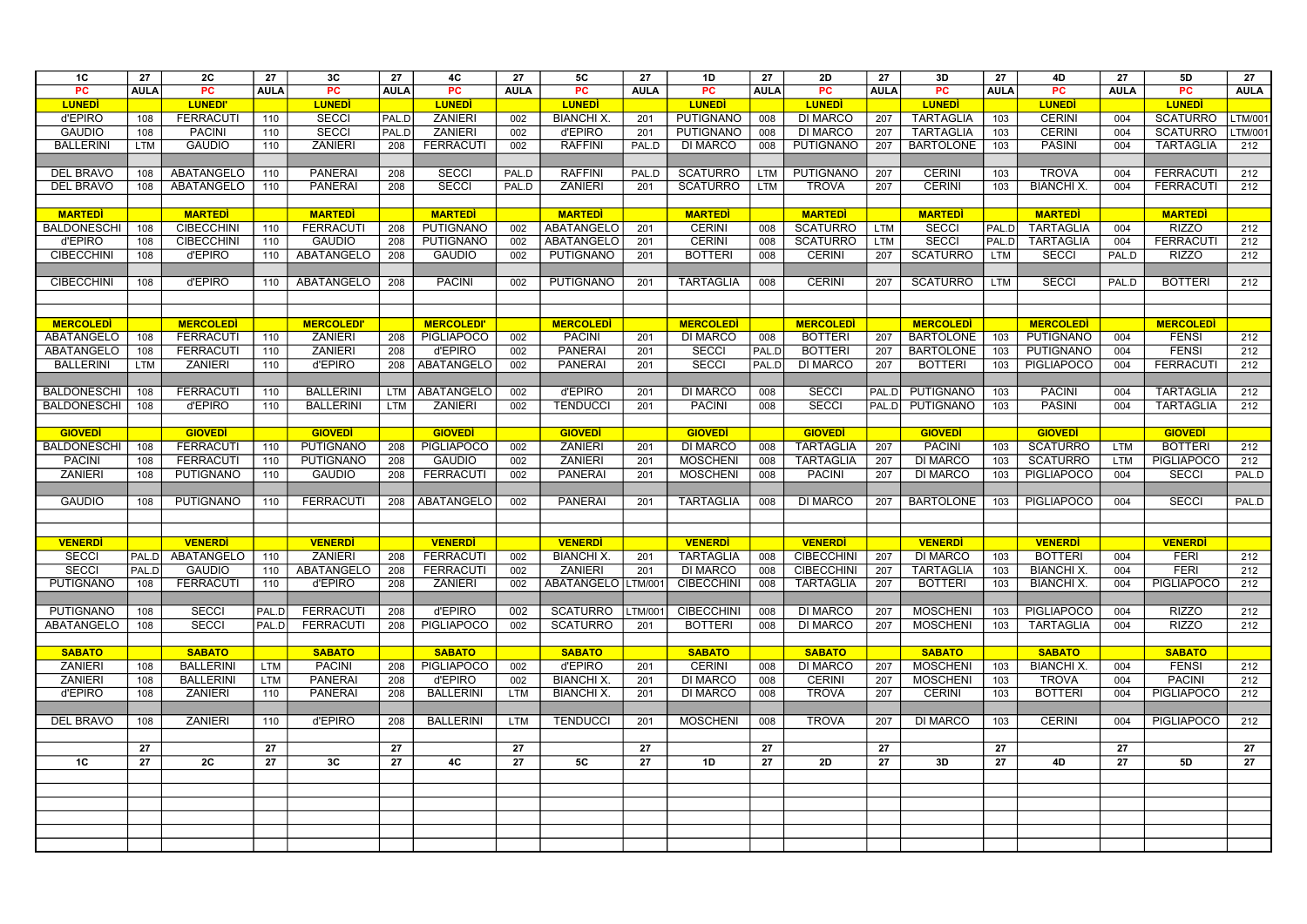| 1 <sup>C</sup>                      | 27          | 2C                                 | 27          | 3C                                   | 27          | 4C                                 | 27          | <b>5C</b>                        | 27          | 1D                                 | 27          | <b>2D</b>                            | 27          | 3D                               | 27          | 4D                                 | 27          | 5D                                  | 27             |
|-------------------------------------|-------------|------------------------------------|-------------|--------------------------------------|-------------|------------------------------------|-------------|----------------------------------|-------------|------------------------------------|-------------|--------------------------------------|-------------|----------------------------------|-------------|------------------------------------|-------------|-------------------------------------|----------------|
| <b>PC</b>                           | <b>AULA</b> | <b>PC</b>                          | <b>AULA</b> | <b>PC</b>                            | <b>AULA</b> | <b>PC</b>                          | <b>AULA</b> | <b>PC</b>                        | <b>AULA</b> | <b>PC</b>                          | <b>AULA</b> | <b>PC</b>                            | <b>AULA</b> | PC                               | <b>AULA</b> | PC                                 | <b>AULA</b> | <b>PC</b>                           | <b>AULA</b>    |
| <b>LUNEDI</b>                       |             | <b>LUNEDI</b>                      |             | <b>LUNED</b>                         |             | <b>LUNED</b>                       |             | <b>LUNED</b>                     |             | <b>LUNEDI</b>                      |             | <b>LUNED</b>                         |             | <b>LUNEDI</b>                    |             | <b>LUNED</b>                       |             | <b>LUNED</b>                        |                |
| d'EPIRO                             | 108         | <b>FERRACUT</b>                    | 110         | <b>SECCI</b>                         | PAL.D       | <b>ZANIERI</b>                     | 002         | <b>BIANCHI X</b>                 | 201         | <b>PUTIGNANO</b>                   | 008         | <b>DI MARCO</b>                      | 207         | <b>TARTAGLIA</b>                 | 103         | <b>CERINI</b>                      | 004         | <b>SCATURRO</b>                     | <b>LTM/001</b> |
| <b>GAUDIO</b>                       | 108         | <b>PACINI</b>                      | 110         | <b>SECCI</b>                         | PAL.D       | <b>ZANIERI</b>                     | 002         | d'EPIRO                          | 201         | <b>PUTIGNANO</b>                   | 008         | <b>DI MARCO</b>                      | 207         | <b>TARTAGLIA</b>                 | 103         | <b>CERINI</b>                      | 004         | <b>SCATURRO</b>                     | LTM/001        |
| <b>BALLERINI</b>                    | <b>LTM</b>  | <b>GAUDIO</b>                      | 110         | <b>ZANIERI</b>                       | 208         | <b>FERRACUTI</b>                   | 002         | <b>RAFFINI</b>                   | PAL.D       | <b>DI MARCO</b>                    | 008         | <b>PUTIGNANO</b>                     | 207         | <b>BARTOLONE</b>                 | 103         | <b>PASINI</b>                      | 004         | <b>TARTAGLIA</b>                    | 212            |
|                                     |             |                                    |             |                                      |             |                                    |             |                                  |             |                                    |             |                                      |             |                                  |             |                                    |             |                                     |                |
| <b>DEL BRAVO</b>                    | 108         | ABATANGELO                         | 110         | <b>PANERAI</b>                       | 208         | <b>SECCI</b>                       | PAL.D       | <b>RAFFINI</b>                   | PAL.D       | <b>SCATURRO</b>                    | <b>LTM</b>  | <b>PUTIGNANO</b>                     | 207         | <b>CERINI</b>                    | 103         | <b>TROVA</b>                       | 004         | <b>FERRACUTI</b>                    | 212            |
| DEL BRAVO                           | 108         | ABATANGELO                         | 110         | <b>PANERAI</b>                       | 208         | <b>SECCI</b>                       | PAL.D       | <b>ZANIERI</b>                   | 201         | <b>SCATURRO</b>                    | <b>LTM</b>  | <b>TROVA</b>                         | 207         | <b>CERINI</b>                    | 103         | <b>BIANCHI X.</b>                  | 004         | <b>FERRACUTI</b>                    | 212            |
|                                     |             |                                    |             |                                      |             |                                    |             |                                  |             |                                    |             |                                      |             |                                  |             |                                    |             |                                     |                |
| <b>MARTEDI</b>                      |             | <b>MARTEDI</b>                     |             | <b>MARTEDI</b>                       |             | <b>MARTEDI</b>                     |             | <b>MARTEDI</b>                   |             | <b>MARTEDI</b>                     |             | <b>MARTEDI</b>                       |             | <b>MARTED</b>                    |             | <b>MARTEDI</b>                     |             | <b>MARTED</b>                       |                |
| <b>BALDONESCHI</b>                  | 108         | <b>CIBECCHINI</b>                  | 110         | <b>FERRACUTI</b>                     | 208         | PUTIGNANO                          | 002         | ABATANGELO                       | 201         | <b>CERINI</b>                      | 008         | <b>SCATURRO</b>                      | <b>LTM</b>  | <b>SECCI</b>                     | PAL.D       | <b>TARTAGLIA</b>                   | 004         | <b>RIZZO</b>                        | 212            |
| d'EPIRO                             | 108         | <b>CIBECCHINI</b>                  | 110         | <b>GAUDIO</b>                        | 208         | <b>PUTIGNANO</b>                   | 002         | ABATANGELO                       | 201         | <b>CERINI</b>                      | 008         | <b>SCATURRO</b>                      | <b>LTM</b>  | <b>SECCI</b>                     | PAL.D       | <b>TARTAGLIA</b>                   | 004         | <b>FERRACUTI</b>                    | 212            |
| <b>CIBECCHINI</b>                   | 108         | d'EPIRO                            | 110         | ABATANGELO                           | 208         | <b>GAUDIO</b>                      | 002         | PUTIGNANO                        | 201         | <b>BOTTERI</b>                     | 008         | <b>CERINI</b>                        | 207         | <b>SCATURRO</b>                  | <b>LTM</b>  | <b>SECCI</b>                       | PAL.D       | <b>RIZZO</b>                        | 212            |
|                                     |             |                                    |             |                                      |             |                                    |             |                                  |             |                                    |             |                                      |             |                                  |             |                                    |             |                                     |                |
| <b>CIBECCHINI</b>                   | 108         | d'EPIRO                            | 110         | ABATANGELO                           | 208         | <b>PACINI</b>                      | 002         | PUTIGNANO                        | 201         | <b>TARTAGLIA</b>                   | 008         | <b>CERINI</b>                        | 207         | <b>SCATURRO</b>                  | <b>LTM</b>  | <b>SECCI</b>                       | PAL.D       | <b>BOTTERI</b>                      | 212            |
|                                     |             |                                    |             |                                      |             |                                    |             |                                  |             |                                    |             |                                      |             |                                  |             |                                    |             |                                     |                |
|                                     |             |                                    |             |                                      |             |                                    |             |                                  |             |                                    |             |                                      |             |                                  |             |                                    |             |                                     |                |
| <b>MERCOLEDI</b>                    |             | <b>MERCOLEDI</b>                   |             | <b>MERCOLEDI</b>                     |             | <b>MERCOLEDI'</b>                  |             | <b>MERCOLEDI</b>                 |             | <b>MERCOLEDI</b>                   |             | <b>MERCOLEDI</b>                     |             | <b>MERCOLEDI</b>                 |             | <b>MERCOLEDI</b>                   |             | <b>MERCOLEDI</b>                    |                |
| ABATANGELO                          | 108         | <b>FERRACUTI</b>                   | 110         | <b>ZANIERI</b>                       | 208         | <b>PIGLIAPOCO</b>                  | 002         | <b>PACINI</b>                    | 201         | <b>DI MARCO</b>                    | 008         | <b>BOTTERI</b>                       | 207         | <b>BARTOLONE</b>                 | 103         | PUTIGNANO                          | 004         | <b>FENSI</b>                        | 212            |
| ABATANGELO                          | 108         | <b>FERRACUTI</b>                   | 110         | <b>ZANIERI</b>                       | 208         | d'EPIRO                            | 002         | <b>PANERAI</b>                   | 201         | <b>SECCI</b>                       | PAL.D       | <b>BOTTERI</b>                       | 207         | <b>BARTOLONE</b>                 | 103         | PUTIGNANO                          | 004         | <b>FENSI</b>                        | 212            |
| <b>BALLERINI</b>                    | <b>LTM</b>  | <b>ZANIERI</b>                     | 110         | d'EPIRO                              | 208         | ABATANGELO                         | 002         | <b>PANERAI</b>                   | 201         | <b>SECCI</b>                       | PAL.D       | <b>DI MARCO</b>                      | 207         | <b>BOTTERI</b>                   | 103         | <b>PIGLIAPOCO</b>                  | 004         | <b>FERRACUTI</b>                    | 212            |
|                                     |             |                                    |             |                                      |             |                                    |             |                                  |             |                                    |             |                                      |             |                                  |             |                                    |             |                                     |                |
| <b>BALDONESCHI</b>                  | 108         | <b>FERRACUT</b>                    | 110         | <b>BALLERINI</b>                     |             | LTM   ABATANGELO                   | 002         | d'EPIRO                          | 201         | <b>DI MARCO</b>                    | 008         | <b>SECCI</b>                         | l PAL.D     | <b>PUTIGNANO</b>                 | 103         | <b>PACINI</b>                      | 004         | <b>TARTAGLIA</b>                    | 212            |
| <b>BALDONESCHI</b>                  | 108         | d'EPIRO                            | 110         | <b>BALLERINI</b>                     | LTM         | <b>ZANIERI</b>                     | 002         | <b>TENDUCCI</b>                  | 201         | <b>PACINI</b>                      | 008         | <b>SECCI</b>                         | PAL.D       | <b>PUTIGNANO</b>                 | 103         | <b>PASINI</b>                      | 004         | <b>TARTAGLIA</b>                    | 212            |
|                                     |             |                                    |             |                                      |             |                                    |             |                                  |             |                                    |             |                                      |             |                                  |             |                                    |             |                                     |                |
| <b>GIOVEDI</b>                      |             | <b>GIOVEDI</b>                     |             | <b>GIOVEDI</b>                       |             | <b>GIOVEDI</b>                     |             | <b>GIOVEDI</b>                   |             | <b>GIOVEDI</b>                     |             | <b>GIOVED</b>                        |             | <b>GIOVEDI</b>                   |             | <b>GIOVEDI</b>                     |             | <b>GIOVEDI</b>                      |                |
| <b>BALDONESCHI</b><br><b>PACINI</b> | 108         | <b>FERRACUT</b><br><b>FERRACUT</b> | 110         | <b>PUTIGNANO</b><br><b>PUTIGNANO</b> | 208         | <b>PIGLIAPOCO</b><br><b>GAUDIO</b> | 002         | <b>ZANIERI</b><br><b>ZANIERI</b> | 201         | <b>DI MARCO</b><br><b>MOSCHENI</b> | 008         | <b>TARTAGLIA</b><br><b>TARTAGLIA</b> | 207         | <b>PACINI</b><br><b>DI MARCO</b> | 103         | <b>SCATURRO</b><br><b>SCATURRO</b> | <b>LTM</b>  | <b>BOTTERI</b><br><b>PIGLIAPOCO</b> | 212            |
| <b>ZANIERI</b>                      | 108         | <b>PUTIGNANO</b>                   | 110         | <b>GAUDIO</b>                        | 208         | <b>FERRACUTI</b>                   | 002         | <b>PANERAI</b>                   | 201         | <b>MOSCHENI</b>                    | 008         | <b>PACINI</b>                        | 207         | <b>DI MARCO</b>                  | 103         | <b>PIGLIAPOCO</b>                  | <b>LTM</b>  | <b>SECCI</b>                        | 212            |
|                                     | 108         |                                    | 110         |                                      | 208         |                                    | 002         |                                  | 201         |                                    | 008         |                                      | 207         |                                  | 103         |                                    | 004         |                                     | PAL.D          |
| <b>GAUDIO</b>                       | 108         | <b>PUTIGNANO</b>                   | 110         | <b>FERRACUTI</b>                     | 208         | ABATANGELO                         | 002         | <b>PANERAI</b>                   | 201         | <b>TARTAGLIA</b>                   | 008         | <b>DI MARCO</b>                      | 207         | <b>BARTOLONE</b>                 | 103         | <b>PIGLIAPOCO</b>                  | 004         | <b>SECCI</b>                        | PAL.D          |
|                                     |             |                                    |             |                                      |             |                                    |             |                                  |             |                                    |             |                                      |             |                                  |             |                                    |             |                                     |                |
|                                     |             |                                    |             |                                      |             |                                    |             |                                  |             |                                    |             |                                      |             |                                  |             |                                    |             |                                     |                |
| <b>VENERD</b>                       |             | <b>VENERDI</b>                     |             | <b>VENERDI</b>                       |             | <b>VENERDI</b>                     |             | <b>VENERDI</b>                   |             | <b>VENERD</b>                      |             | <b>VENERDI</b>                       |             | <b>VENERD</b>                    |             | <b>VENERDI</b>                     |             | <b>VENERDI</b>                      |                |
| <b>SECCI</b>                        |             | PAL.D ABATANGELO                   | 110         | <b>ZANIERI</b>                       | 208         | <b>FERRACUTI</b>                   | 002         | <b>BIANCHI X.</b>                | 201         | <b>TARTAGLIA</b>                   | 008         | <b>CIBECCHINI</b>                    | 207         | <b>DI MARCO</b>                  | 103         | <b>BOTTERI</b>                     | 004         | <b>FERI</b>                         | 212            |
| <b>SECCI</b>                        | PAL.D       | <b>GAUDIO</b>                      | 110         | ABATANGELO                           | 208         | <b>FERRACUTI</b>                   | 002         | <b>ZANIERI</b>                   | 201         | <b>DI MARCO</b>                    | 008         | <b>CIBECCHINI</b>                    | 207         | <b>TARTAGLIA</b>                 | 103         | <b>BIANCHI X.</b>                  | 004         | <b>FERI</b>                         | 212            |
| <b>PUTIGNANO</b>                    | 108         | <b>FERRACUTI</b>                   | 110         | d'EPIRO                              | 208         | <b>ZANIERI</b>                     | 002         | ABATANGELO LTM/001               |             | <b>CIBECCHINI</b>                  | 008         | <b>TARTAGLIA</b>                     | 207         | <b>BOTTERI</b>                   | 103         | <b>BIANCHI X.</b>                  | 004         | PIGLIAPOCO                          | 212            |
|                                     |             |                                    |             |                                      |             |                                    |             |                                  |             |                                    |             |                                      |             |                                  |             |                                    |             |                                     |                |
| <b>PUTIGNANO</b>                    | 108         | <b>SECCI</b>                       | PAL.D       | <b>FERRACUTI</b>                     | 208         | d'EPIRO                            | 002         | <b>SCATURRO</b>                  | LTM/001     | <b>CIBECCHINI</b>                  | 008         | <b>DI MARCO</b>                      | 207         | <b>MOSCHENI</b>                  | 103         | <b>PIGLIAPOCO</b>                  | 004         | <b>RIZZO</b>                        | 212            |
| <b>ABATANGELO</b>                   | 108         | <b>SECCI</b>                       | PAL.D       | <b>FERRACUTI</b>                     | 208         | <b>PIGLIAPOCO</b>                  | 002         | <b>SCATURRO</b>                  | 201         | <b>BOTTERI</b>                     | 008         | <b>DI MARCO</b>                      | 207         | <b>MOSCHENI</b>                  | 103         | <b>TARTAGLIA</b>                   | 004         | <b>RIZZO</b>                        | 212            |
|                                     |             |                                    |             |                                      |             |                                    |             |                                  |             |                                    |             |                                      |             |                                  |             |                                    |             |                                     |                |
| <b>SABATO</b>                       |             | <b>SABATO</b>                      |             | <b>SABATO</b>                        |             | <b>SABATO</b>                      |             | <b>SABATO</b>                    |             | <b>SABATO</b>                      |             | <b>SABATO</b>                        |             | <b>SABATO</b>                    |             | <b>SABATO</b>                      |             | <b>SABATO</b>                       |                |
| <b>ZANIERI</b>                      | 108         | <b>BALLERINI</b>                   | LTM         | <b>PACINI</b>                        | 208         | <b>PIGLIAPOCO</b>                  | 002         | d'EPIRO                          | 201         | <b>CERINI</b>                      | 008         | <b>DI MARCO</b>                      | 207         | <b>MOSCHENI</b>                  | 103         | <b>BIANCHI X.</b>                  | 004         | <b>FENSI</b>                        | 212            |
| <b>ZANIERI</b>                      | 108         | <b>BALLERINI</b>                   | LTM         | <b>PANERAI</b>                       | 208         | d'EPIRO                            | 002         | <b>BIANCHI X.</b>                | 201         | <b>DI MARCO</b>                    | 008         | <b>CERINI</b>                        | 207         | <b>MOSCHENI</b>                  | 103         | <b>TROVA</b>                       | 004         | <b>PACINI</b>                       | 212            |
| d'EPIRO                             | 108         | <b>ZANIERI</b>                     | 110         | <b>PANERAI</b>                       | 208         | <b>BALLERINI</b>                   | LTM         | <b>BIANCHI X.</b>                | 201         | <b>DI MARCO</b>                    | 008         | <b>TROVA</b>                         | 207         | <b>CERINI</b>                    | 103         | <b>BOTTERI</b>                     | 004         | <b>PIGLIAPOCO</b>                   | 212            |
|                                     |             |                                    |             |                                      |             |                                    |             |                                  |             |                                    |             |                                      |             |                                  |             |                                    |             |                                     |                |
| DEL BRAVO                           | 108         | <b>ZANIERI</b>                     | 110         | d'EPIRO                              | 208         | <b>BALLERINI</b>                   | LTM         | <b>TENDUCCI</b>                  | 201         | <b>MOSCHENI</b>                    | 008         | <b>TROVA</b>                         | 207         | <b>DI MARCO</b>                  | 103         | <b>CERINI</b>                      | 004         | PIGLIAPOCO                          | 212            |
|                                     |             |                                    |             |                                      |             |                                    |             |                                  |             |                                    |             |                                      |             |                                  |             |                                    |             |                                     |                |
|                                     | 27          |                                    | 27          |                                      | 27          |                                    | 27          |                                  | 27          |                                    | 27          |                                      | 27          |                                  | 27          |                                    | 27          |                                     | 27             |
| 1C                                  | 27          | 2C                                 | 27          | 3C                                   | 27          | 4C                                 | 27          | <b>5C</b>                        | 27          | 1D                                 | 27          | 2D                                   | 27          | 3D                               | 27          | 4D                                 | 27          | 5D                                  | 27             |
|                                     |             |                                    |             |                                      |             |                                    |             |                                  |             |                                    |             |                                      |             |                                  |             |                                    |             |                                     |                |
|                                     |             |                                    |             |                                      |             |                                    |             |                                  |             |                                    |             |                                      |             |                                  |             |                                    |             |                                     |                |
|                                     |             |                                    |             |                                      |             |                                    |             |                                  |             |                                    |             |                                      |             |                                  |             |                                    |             |                                     |                |
|                                     |             |                                    |             |                                      |             |                                    |             |                                  |             |                                    |             |                                      |             |                                  |             |                                    |             |                                     |                |
|                                     |             |                                    |             |                                      |             |                                    |             |                                  |             |                                    |             |                                      |             |                                  |             |                                    |             |                                     |                |
|                                     |             |                                    |             |                                      |             |                                    |             |                                  |             |                                    |             |                                      |             |                                  |             |                                    |             |                                     |                |
|                                     |             |                                    |             |                                      |             |                                    |             |                                  |             |                                    |             |                                      |             |                                  |             |                                    |             |                                     |                |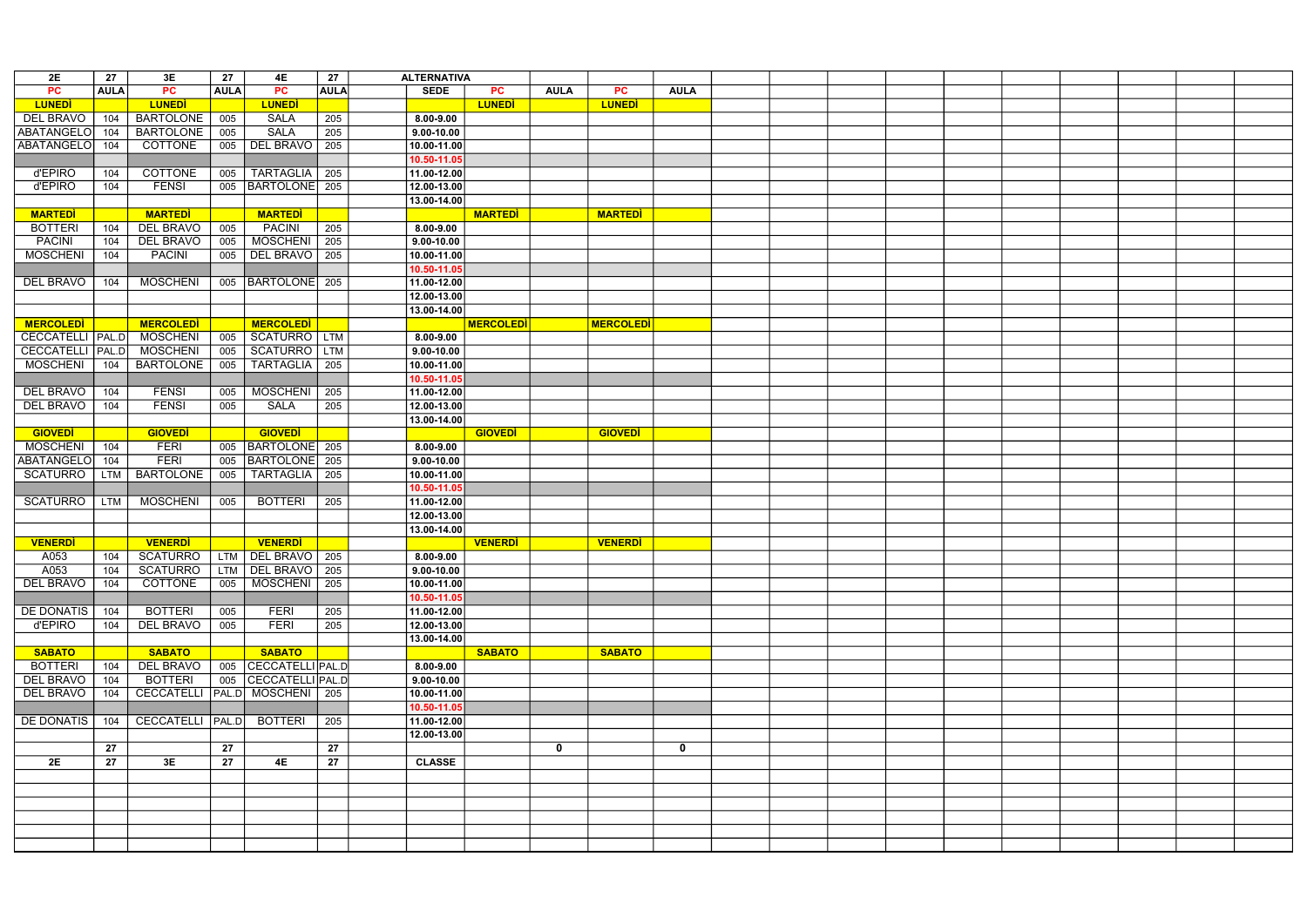| 2E                 | 27          | 3E                               | 27          | 4E                     | 27          | <b>ALTERNATIVA</b> |                  |             |                  |             |  |  |  |  |  |
|--------------------|-------------|----------------------------------|-------------|------------------------|-------------|--------------------|------------------|-------------|------------------|-------------|--|--|--|--|--|
| PC                 | <b>AULA</b> | PC                               | <b>AULA</b> | PC                     | <b>AULA</b> | <b>SEDE</b>        | <b>PC</b>        | <b>AULA</b> | <b>PC</b>        | <b>AULA</b> |  |  |  |  |  |
| <b>LUNEDI</b>      |             | <b>LUNEDI</b>                    |             | <b>LUNED</b>           |             |                    | <b>LUNEDI</b>    |             | <b>LUNED</b>     |             |  |  |  |  |  |
|                    |             |                                  |             |                        |             |                    |                  |             |                  |             |  |  |  |  |  |
| <b>DEL BRAVO</b>   | 104         | <b>BARTOLONE</b>                 | 005         | <b>SALA</b>            | 205         | $8.00 - 9.00$      |                  |             |                  |             |  |  |  |  |  |
| ABATANGELO         | 104         | <b>BARTOLONE</b>                 | 005         | <b>SALA</b>            | 205         | $9.00 - 10.00$     |                  |             |                  |             |  |  |  |  |  |
| <b>ABATANGELO</b>  | 104         | <b>COTTONE</b>                   |             | 005   DEL BRAVO   205  |             | $ 10.00 - 11.00 $  |                  |             |                  |             |  |  |  |  |  |
|                    |             |                                  |             |                        |             | 10.50-11.05        |                  |             |                  |             |  |  |  |  |  |
| d'EPIRO            | 104         | <b>COTTONE</b>                   | 005         | TARTAGLIA   205        |             | $11.00 - 12.00$    |                  |             |                  |             |  |  |  |  |  |
| d'EPIRO            | 104         | <b>FENSI</b>                     | 005         | BARTOLONE 205          |             | 12.00-13.00        |                  |             |                  |             |  |  |  |  |  |
|                    |             |                                  |             |                        |             | 13.00-14.00        |                  |             |                  |             |  |  |  |  |  |
| <b>MARTEDI</b>     |             | <b>MARTEDI</b>                   |             | <b>MARTEDI</b>         |             |                    | <b>MARTEDI</b>   |             | <b>MARTEDI</b>   |             |  |  |  |  |  |
| <b>BOTTERI</b>     | 104         | <b>DEL BRAVO</b>                 | 005         | PACINI                 | 205         | $8.00 - 9.00$      |                  |             |                  |             |  |  |  |  |  |
| <b>PACINI</b>      | 104         | <b>DEL BRAVO</b>                 | 005         | MOSCHENI 205           |             | $9.00 - 10.00$     |                  |             |                  |             |  |  |  |  |  |
| <b>MOSCHENI</b>    | 104         | PACINI                           |             | 005   DEL BRAVO   205  |             | $10.00 - 11.00$    |                  |             |                  |             |  |  |  |  |  |
|                    |             |                                  |             |                        |             | 10.50-11.05        |                  |             |                  |             |  |  |  |  |  |
| <b>DEL BRAVO</b>   | 104         | <b>MOSCHENI</b>                  |             | 005   BARTOLONE   205  |             | $11.00 - 12.00$    |                  |             |                  |             |  |  |  |  |  |
|                    |             |                                  |             |                        |             | 12.00-13.00        |                  |             |                  |             |  |  |  |  |  |
|                    |             |                                  |             |                        |             | 13.00-14.00        |                  |             |                  |             |  |  |  |  |  |
|                    |             |                                  |             |                        |             |                    |                  |             |                  |             |  |  |  |  |  |
| <b>MERCOLEDI</b>   |             | <b>MERCOLEDI</b>                 |             | <b>MERCOLEDI</b>       |             |                    | <b>MERCOLEDI</b> |             | <b>MERCOLEDI</b> |             |  |  |  |  |  |
| CECCATELLI   PAL.D |             | <b>MOSCHENI</b>                  | 005         | SCATURRO LTM           |             | $8.00 - 9.00$      |                  |             |                  |             |  |  |  |  |  |
| CECCATELLI   PAL.D |             | <b>MOSCHENI</b>                  | 005         | SCATURRO   LTM         |             | $9.00 - 10.00$     |                  |             |                  |             |  |  |  |  |  |
| <b>MOSCHENI</b>    | 104         | <b>BARTOLONE</b>                 | 005         | TARTAGLIA   205        |             | $10.00 - 11.00$    |                  |             |                  |             |  |  |  |  |  |
|                    |             |                                  |             |                        |             | 10.50-11.05        |                  |             |                  |             |  |  |  |  |  |
| <b>DEL BRAVO</b>   | 104         | <b>FENSI</b>                     | 005         | MOSCHENI   205         |             | $11.00 - 12.00$    |                  |             |                  |             |  |  |  |  |  |
| <b>DEL BRAVO</b>   | 104         | <b>FENSI</b>                     | 005         | <b>SALA</b>            | 205         | 12.00-13.00        |                  |             |                  |             |  |  |  |  |  |
|                    |             |                                  |             |                        |             | 13.00-14.00        |                  |             |                  |             |  |  |  |  |  |
| <b>GIOVEDI</b>     |             | <b>GIOVEDI</b>                   |             | <b>GIOVEDI</b>         |             |                    | <b>GIOVEDI</b>   |             | <b>GIOVEDI</b>   |             |  |  |  |  |  |
| <b>MOSCHENI</b>    | 104         | <b>FERI</b>                      |             | 005   BARTOLONE   205  |             | $8.00 - 9.00$      |                  |             |                  |             |  |  |  |  |  |
| <b>ABATANGELO</b>  | 104         | FERI                             |             | 005   BARTOLONE   205  |             | $9.00 - 10.00$     |                  |             |                  |             |  |  |  |  |  |
| <b>SCATURRO</b>    | LTM         | <b>BARTOLONE</b>                 | 005         | TARTAGLIA   205        |             | $10.00 - 11.00$    |                  |             |                  |             |  |  |  |  |  |
|                    |             |                                  |             |                        |             | 10.50-11.05        |                  |             |                  |             |  |  |  |  |  |
| <b>SCATURRO</b>    | <b>LTM</b>  | <b>MOSCHENI</b>                  | 005         | <b>BOTTERI</b>         | 205         | 11.00-12.00        |                  |             |                  |             |  |  |  |  |  |
|                    |             |                                  |             |                        |             | 12.00-13.00        |                  |             |                  |             |  |  |  |  |  |
|                    |             |                                  |             |                        |             | $ 13.00 - 14.00 $  |                  |             |                  |             |  |  |  |  |  |
| <b>VENERDI</b>     |             | <b>VENERDI</b>                   |             | <b>VENERDI</b>         |             |                    | <b>VENERDI</b>   |             | <b>VENERDI</b>   |             |  |  |  |  |  |
| A053               | 104         | SCATURRO   LTM   DEL BRAVO   205 |             |                        |             | $8.00 - 9.00$      |                  |             |                  |             |  |  |  |  |  |
|                    |             |                                  |             |                        |             |                    |                  |             |                  |             |  |  |  |  |  |
| A053               | 104         | <b>SCATURRO</b>                  |             | LTM   DEL BRAVO   205  |             | $9.00 - 10.00$     |                  |             |                  |             |  |  |  |  |  |
| <b>DEL BRAVO</b>   | 104         | <b>COTTONE</b>                   |             | 005   MOSCHENI   205   |             | 10.00-11.00        |                  |             |                  |             |  |  |  |  |  |
|                    |             |                                  |             |                        |             | 10.50-11.05        |                  |             |                  |             |  |  |  |  |  |
| <b>DE DONATIS</b>  | 104         | <b>BOTTERI</b>                   | 005         | <b>FERI</b>            | 205         | $ 11.00 - 12.00 $  |                  |             |                  |             |  |  |  |  |  |
| d'EPIRO            | 104         | <b>DEL BRAVO</b>                 | 005         | <b>FERI</b>            | 205         | 12.00-13.00        |                  |             |                  |             |  |  |  |  |  |
|                    |             |                                  |             |                        |             | 13.00-14.00        |                  |             |                  |             |  |  |  |  |  |
| <b>SABATO</b>      |             | <b>SABATO</b>                    |             | <b>SABATO</b>          |             |                    | <b>SABATO</b>    |             | <b>SABATO</b>    |             |  |  |  |  |  |
| <b>BOTTERI</b>     | 104         | <b>DEL BRAVO</b>                 |             | 005   CECCATELLI PAL.D |             | $8.00 - 9.00$      |                  |             |                  |             |  |  |  |  |  |
| DEL BRAVO          | 104         | <b>BOTTERI</b>                   |             | 005   CECCATELLI PAL.D |             | $9.00 - 10.00$     |                  |             |                  |             |  |  |  |  |  |
| <b>DEL BRAVO</b>   | 104         | CECCATELLI PAL.D MOSCHENI   205  |             |                        |             | $10.00 - 11.00$    |                  |             |                  |             |  |  |  |  |  |
|                    |             |                                  |             |                        |             | 10.50-11.05        |                  |             |                  |             |  |  |  |  |  |
| <b>DE DONATIS</b>  | 104         | CECCATELLI   PAL.D               |             | BOTTERI                | 205         | 11.00-12.00        |                  |             |                  |             |  |  |  |  |  |
|                    |             |                                  |             |                        |             | 12.00-13.00        |                  |             |                  |             |  |  |  |  |  |
|                    | 27          |                                  | 27          |                        | 27          |                    |                  | $\mathbf 0$ |                  | $\mathbf 0$ |  |  |  |  |  |
| 2E                 | 27          | 3E                               | 27          | 4E                     | 27          | <b>CLASSE</b>      |                  |             |                  |             |  |  |  |  |  |
|                    |             |                                  |             |                        |             |                    |                  |             |                  |             |  |  |  |  |  |
|                    |             |                                  |             |                        |             |                    |                  |             |                  |             |  |  |  |  |  |
|                    |             |                                  |             |                        |             |                    |                  |             |                  |             |  |  |  |  |  |
|                    |             |                                  |             |                        |             |                    |                  |             |                  |             |  |  |  |  |  |
|                    |             |                                  |             |                        |             |                    |                  |             |                  |             |  |  |  |  |  |
|                    |             |                                  |             |                        |             |                    |                  |             |                  |             |  |  |  |  |  |
|                    |             |                                  |             |                        |             |                    |                  |             |                  |             |  |  |  |  |  |